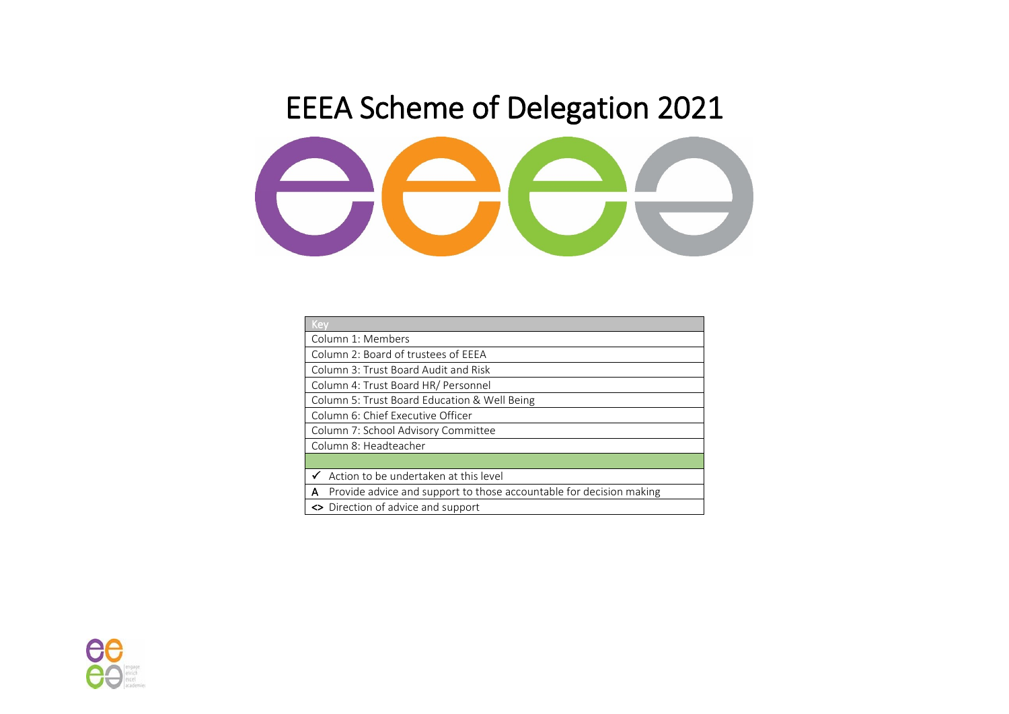## EEEA Scheme of Delegation 2021



| Key                                                                      |
|--------------------------------------------------------------------------|
| Column 1: Members                                                        |
| Column 2: Board of trustees of EEEA                                      |
| Column 3: Trust Board Audit and Risk                                     |
| Column 4: Trust Board HR/ Personnel                                      |
| Column 5: Trust Board Education & Well Being                             |
| Column 6: Chief Executive Officer                                        |
| Column 7: School Advisory Committee                                      |
| Column 8: Headteacher                                                    |
|                                                                          |
| Action to be undertaken at this level                                    |
| Provide advice and support to those accountable for decision making<br>A |
| ← Direction of advice and support                                        |

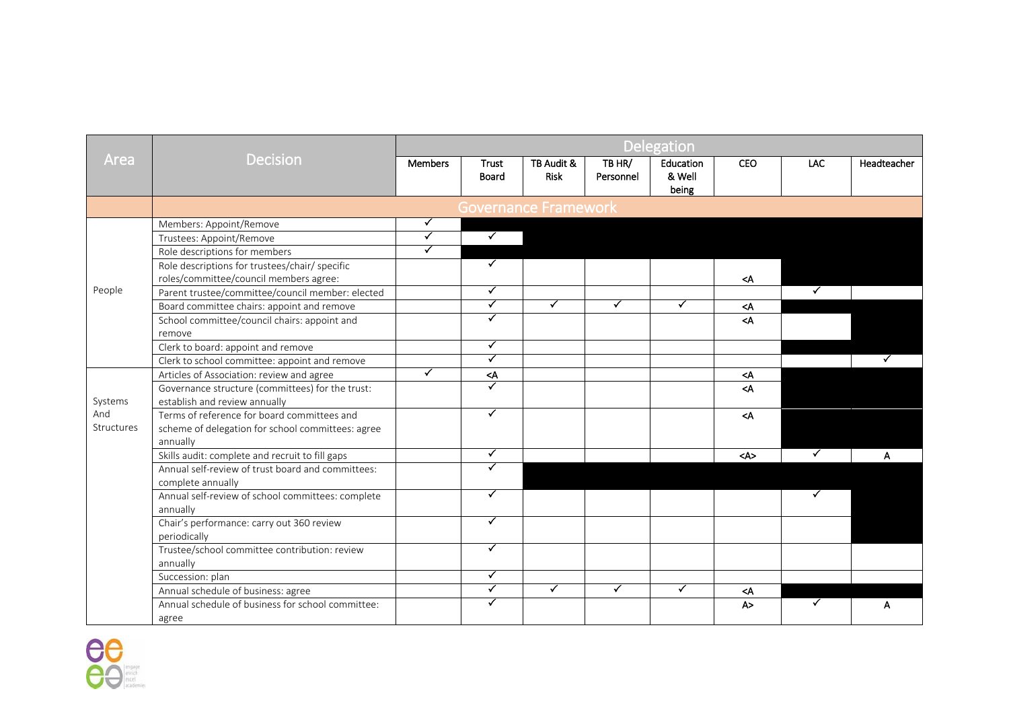|                   |                                                                                                              | <b>Delegation</b>    |                                                                                      |                           |                     |                              |                                   |                      |              |
|-------------------|--------------------------------------------------------------------------------------------------------------|----------------------|--------------------------------------------------------------------------------------|---------------------------|---------------------|------------------------------|-----------------------------------|----------------------|--------------|
| Area              | <b>Decision</b>                                                                                              | <b>Members</b>       | <b>Trust</b><br>Board                                                                | TB Audit &<br><b>Risk</b> | TB HR/<br>Personnel | Education<br>& Well<br>being | <b>CEO</b>                        | LAC                  | Headteacher  |
|                   |                                                                                                              |                      |                                                                                      | Governance Framework      |                     |                              |                                   |                      |              |
|                   | Members: Appoint/Remove                                                                                      | ✓                    |                                                                                      |                           |                     |                              |                                   |                      |              |
|                   | Trustees: Appoint/Remove                                                                                     | $\checkmark$         | $\blacktriangledown$                                                                 |                           |                     |                              |                                   |                      |              |
|                   | Role descriptions for members                                                                                | $\checkmark$         |                                                                                      |                           |                     |                              |                                   |                      |              |
|                   | Role descriptions for trustees/chair/ specific<br>roles/committee/council members agree:                     |                      | $\checkmark$                                                                         |                           |                     |                              | <a< td=""><td></td><td></td></a<> |                      |              |
| People            | Parent trustee/committee/council member: elected                                                             |                      | $\checkmark$                                                                         |                           |                     |                              |                                   | $\blacktriangledown$ |              |
|                   | Board committee chairs: appoint and remove                                                                   |                      | $\checkmark$                                                                         | ✓                         | ✓                   | ✓                            | <a< td=""><td></td><td></td></a<> |                      |              |
|                   | School committee/council chairs: appoint and<br>remove                                                       |                      | ✓                                                                                    |                           |                     |                              | $\prec$ A                         |                      |              |
|                   | Clerk to board: appoint and remove                                                                           |                      | ✓                                                                                    |                           |                     |                              |                                   |                      |              |
|                   | Clerk to school committee: appoint and remove                                                                |                      | $\blacktriangledown$                                                                 |                           |                     |                              |                                   |                      | $\checkmark$ |
|                   | Articles of Association: review and agree                                                                    | $\blacktriangledown$ | <a< td=""><td></td><td></td><td></td><td><a< td=""><td></td><td></td></a<></td></a<> |                           |                     |                              | <a< td=""><td></td><td></td></a<> |                      |              |
| Systems           | Governance structure (committees) for the trust:<br>establish and review annually                            |                      | ✓                                                                                    |                           |                     |                              | $\triangleleft$                   |                      |              |
| And<br>Structures | Terms of reference for board committees and<br>scheme of delegation for school committees: agree<br>annually |                      | ✓                                                                                    |                           |                     |                              | $\prec$ A                         |                      |              |
|                   | Skills audit: complete and recruit to fill gaps                                                              |                      | ✓                                                                                    |                           |                     |                              | $<\mathsf{A}\mathsf{>}$           | $\checkmark$         | А            |
|                   | Annual self-review of trust board and committees:<br>complete annually                                       |                      |                                                                                      |                           |                     |                              |                                   |                      |              |
|                   | Annual self-review of school committees: complete<br>annually                                                |                      | ✓                                                                                    |                           |                     |                              |                                   | ✓                    |              |
|                   | Chair's performance: carry out 360 review<br>periodically                                                    |                      | ✓                                                                                    |                           |                     |                              |                                   |                      |              |
|                   | Trustee/school committee contribution: review<br>annually                                                    |                      | ✓                                                                                    |                           |                     |                              |                                   |                      |              |
|                   | Succession: plan                                                                                             |                      | $\checkmark$                                                                         |                           |                     |                              |                                   |                      |              |
|                   | Annual schedule of business: agree                                                                           |                      | $\blacktriangledown$                                                                 | $\checkmark$              | $\checkmark$        | $\checkmark$                 | $<$ A                             |                      |              |
|                   | Annual schedule of business for school committee:<br>agree                                                   |                      | $\blacktriangledown$                                                                 |                           |                     |                              | A >                               |                      | А            |

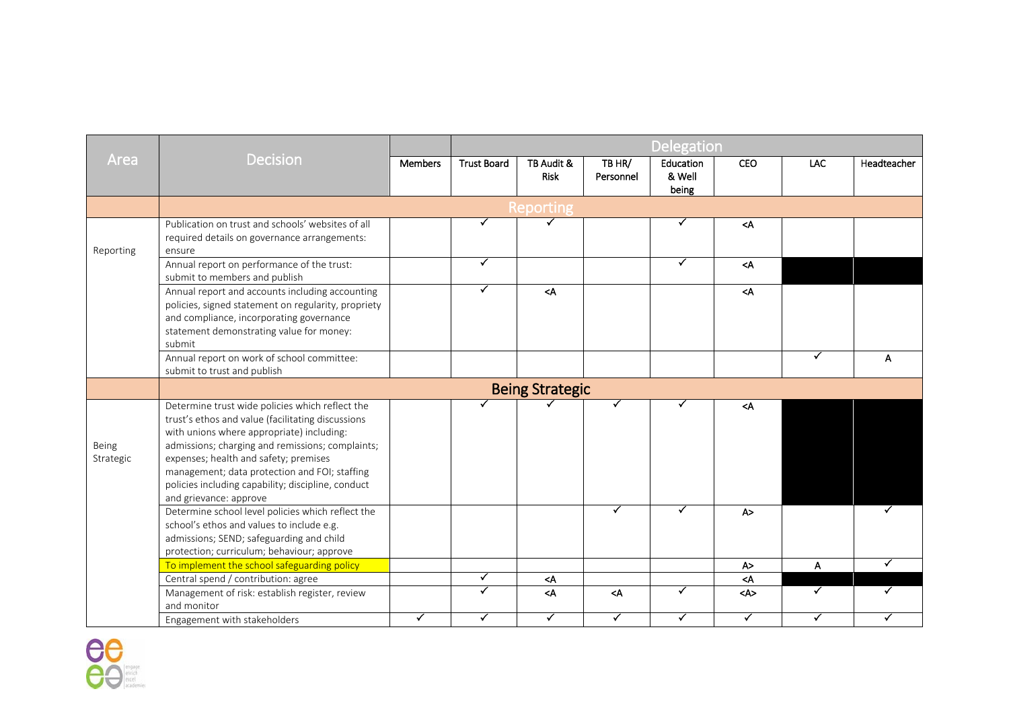|                    |                                                                                                                                                                                                                                                                                                                                                                                 |                | <b>Delegation</b>  |                        |                                                                                                                   |                              |                                   |                           |             |
|--------------------|---------------------------------------------------------------------------------------------------------------------------------------------------------------------------------------------------------------------------------------------------------------------------------------------------------------------------------------------------------------------------------|----------------|--------------------|------------------------|-------------------------------------------------------------------------------------------------------------------|------------------------------|-----------------------------------|---------------------------|-------------|
| Area               | <b>Decision</b>                                                                                                                                                                                                                                                                                                                                                                 | <b>Members</b> | <b>Trust Board</b> | TB Audit &<br>Risk     | TB HR/<br>Personnel                                                                                               | Education<br>& Well<br>being | <b>CEO</b>                        | LAC                       | Headteacher |
|                    |                                                                                                                                                                                                                                                                                                                                                                                 |                |                    | Reporting              |                                                                                                                   |                              |                                   |                           |             |
| Reporting          | Publication on trust and schools' websites of all<br>required details on governance arrangements:<br>ensure                                                                                                                                                                                                                                                                     |                | ✓                  | $\blacktriangledown$   |                                                                                                                   | ✓                            | $<$ A                             |                           |             |
|                    | Annual report on performance of the trust:<br>submit to members and publish                                                                                                                                                                                                                                                                                                     |                | $\checkmark$       |                        |                                                                                                                   | ✓                            | $\leq$ A                          |                           |             |
|                    | Annual report and accounts including accounting<br>policies, signed statement on regularity, propriety<br>and compliance, incorporating governance<br>statement demonstrating value for money:<br>submit                                                                                                                                                                        |                | $\checkmark$       | $\leq$ A               |                                                                                                                   |                              | $\leq$ A                          |                           |             |
|                    | Annual report on work of school committee:<br>submit to trust and publish                                                                                                                                                                                                                                                                                                       |                |                    |                        |                                                                                                                   |                              |                                   | ✓                         | A           |
|                    |                                                                                                                                                                                                                                                                                                                                                                                 |                |                    | <b>Being Strategic</b> |                                                                                                                   |                              |                                   |                           |             |
| Being<br>Strategic | Determine trust wide policies which reflect the<br>trust's ethos and value (facilitating discussions<br>with unions where appropriate) including:<br>admissions; charging and remissions; complaints;<br>expenses; health and safety; premises<br>management; data protection and FOI; staffing<br>policies including capability; discipline, conduct<br>and grievance: approve |                |                    |                        |                                                                                                                   |                              | <a< td=""><td></td><td></td></a<> |                           |             |
|                    | Determine school level policies which reflect the<br>school's ethos and values to include e.g.<br>admissions; SEND; safeguarding and child<br>protection; curriculum; behaviour; approve                                                                                                                                                                                        |                |                    |                        | ✓                                                                                                                 |                              | A >                               |                           |             |
|                    | To implement the school safeguarding policy                                                                                                                                                                                                                                                                                                                                     |                |                    |                        |                                                                                                                   |                              | A >                               | $\boldsymbol{\mathsf{A}}$ | ✓           |
|                    | Central spend / contribution: agree                                                                                                                                                                                                                                                                                                                                             |                | $\checkmark$       | $<$ A                  |                                                                                                                   |                              | $\prec$ A                         |                           |             |
|                    | Management of risk: establish register, review<br>and monitor                                                                                                                                                                                                                                                                                                                   |                | ✓                  | $<$ A                  | <a< td=""><td><math>\blacktriangledown</math></td><td><a></a></td><td><math>\checkmark</math></td><td>✓</td></a<> | $\blacktriangledown$         | <a></a>                           | $\checkmark$              | ✓           |
|                    | Engagement with stakeholders                                                                                                                                                                                                                                                                                                                                                    | ✓              | ✓                  | ✓                      | ✓                                                                                                                 | ✓                            | ✓                                 | ✓                         | ✓           |

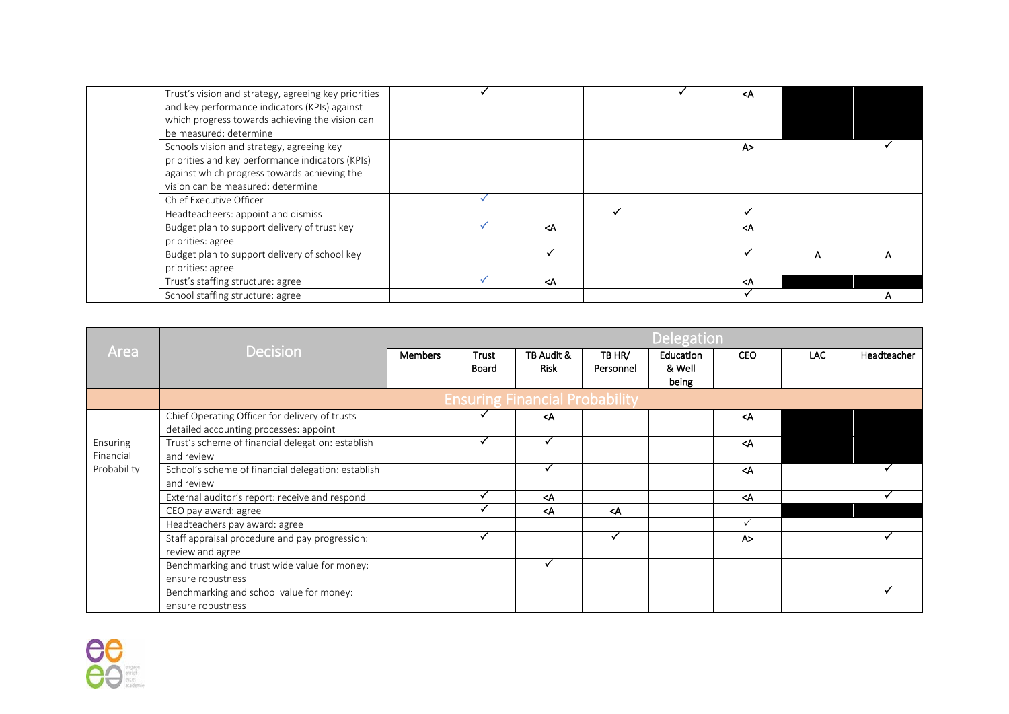| Trust's vision and strategy, agreeing key priorities<br>and key performance indicators (KPIs) against<br>which progress towards achieving the vision can<br>be measured: determine |                                                                    |  | ≺A                                |   |  |
|------------------------------------------------------------------------------------------------------------------------------------------------------------------------------------|--------------------------------------------------------------------|--|-----------------------------------|---|--|
| Schools vision and strategy, agreeing key<br>priorities and key performance indicators (KPIs)<br>against which progress towards achieving the<br>vision can be measured: determine |                                                                    |  | A>                                |   |  |
| Chief Executive Officer                                                                                                                                                            |                                                                    |  |                                   |   |  |
| Headteacheers: appoint and dismiss                                                                                                                                                 |                                                                    |  |                                   |   |  |
| Budget plan to support delivery of trust key<br>priorities: agree                                                                                                                  | <a< td=""><td></td><td><a< td=""><td></td><td></td></a<></td></a<> |  | <a< td=""><td></td><td></td></a<> |   |  |
| Budget plan to support delivery of school key<br>priorities: agree                                                                                                                 |                                                                    |  |                                   | А |  |
| Trust's staffing structure: agree                                                                                                                                                  | <a< td=""><td></td><td><a< td=""><td></td><td></td></a<></td></a<> |  | <a< td=""><td></td><td></td></a<> |   |  |
| School staffing structure: agree                                                                                                                                                   |                                                                    |  |                                   |   |  |

|                       |                                                                                          |                |                |                                                                             |                                                     | <b>Delegation</b>   |                                   |      |             |
|-----------------------|------------------------------------------------------------------------------------------|----------------|----------------|-----------------------------------------------------------------------------|-----------------------------------------------------|---------------------|-----------------------------------|------|-------------|
| Area                  | <b>Decision</b>                                                                          | <b>Members</b> | Trust<br>Board | TB Audit &<br><b>Risk</b>                                                   | TB HR/<br>Personnel                                 | Education<br>& Well | <b>CEO</b>                        | LAC. | Headteacher |
|                       |                                                                                          |                |                |                                                                             |                                                     | being               |                                   |      |             |
|                       |                                                                                          |                |                | <b>Ensuring Financial Probability</b>                                       |                                                     |                     |                                   |      |             |
|                       | Chief Operating Officer for delivery of trusts<br>detailed accounting processes: appoint |                |                | <a< td=""><td></td><td></td><td><a< td=""><td></td><td></td></a<></td></a<> |                                                     |                     | <a< td=""><td></td><td></td></a<> |      |             |
| Ensuring<br>Financial | Trust's scheme of financial delegation: establish<br>and review                          |                |                |                                                                             |                                                     |                     | $\triangleleft$                   |      |             |
| Probability           | School's scheme of financial delegation: establish<br>and review                         |                |                |                                                                             |                                                     |                     | <a< td=""><td></td><td></td></a<> |      |             |
|                       | External auditor's report: receive and respond                                           |                |                | <a< td=""><td></td><td></td><td><a< td=""><td></td><td></td></a<></td></a<> |                                                     |                     | <a< td=""><td></td><td></td></a<> |      |             |
|                       | CEO pay award: agree                                                                     |                |                | <a< td=""><td><a< td=""><td></td><td></td><td></td><td></td></a<></td></a<> | <a< td=""><td></td><td></td><td></td><td></td></a<> |                     |                                   |      |             |
|                       | Headteachers pay award: agree                                                            |                |                |                                                                             |                                                     |                     |                                   |      |             |
|                       | Staff appraisal procedure and pay progression:<br>review and agree                       |                |                |                                                                             |                                                     |                     | A>                                |      |             |
|                       | Benchmarking and trust wide value for money:<br>ensure robustness                        |                |                |                                                                             |                                                     |                     |                                   |      |             |
|                       | Benchmarking and school value for money:<br>ensure robustness                            |                |                |                                                                             |                                                     |                     |                                   |      |             |

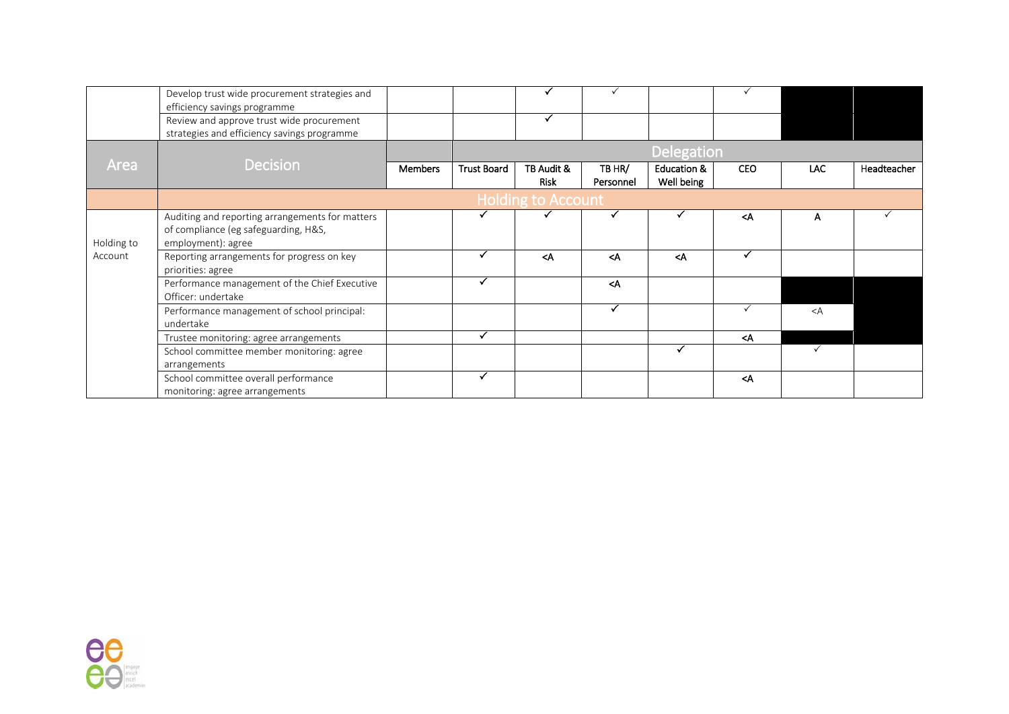|            | Develop trust wide procurement strategies and<br>efficiency savings programme                                 |                |                    |                           |                                                     |                                      |                                    |              |             |
|------------|---------------------------------------------------------------------------------------------------------------|----------------|--------------------|---------------------------|-----------------------------------------------------|--------------------------------------|------------------------------------|--------------|-------------|
|            | Review and approve trust wide procurement<br>strategies and efficiency savings programme                      |                |                    |                           |                                                     |                                      |                                    |              |             |
|            |                                                                                                               |                |                    |                           |                                                     | <b>Delegation</b>                    |                                    |              |             |
| Area       | <b>Decision</b>                                                                                               | <b>Members</b> | <b>Trust Board</b> | TB Audit &<br><b>Risk</b> | TB HR/<br>Personnel                                 | <b>Education &amp;</b><br>Well being | <b>CEO</b>                         | LAC.         | Headteacher |
|            |                                                                                                               |                |                    | <b>Holding to Account</b> |                                                     |                                      |                                    |              |             |
| Holding to | Auditing and reporting arrangements for matters<br>of compliance (eg safeguarding, H&S,<br>employment): agree |                |                    |                           |                                                     |                                      | <a< td=""><td>A</td><td></td></a<> | A            |             |
| Account    | Reporting arrangements for progress on key<br>priorities: agree                                               |                |                    | $\triangleleft$           | $\triangleleft$                                     | $\triangleleft$                      |                                    |              |             |
|            | Performance management of the Chief Executive<br>Officer: undertake                                           |                |                    |                           | <a< td=""><td></td><td></td><td></td><td></td></a<> |                                      |                                    |              |             |
|            | Performance management of school principal:<br>undertake                                                      |                |                    |                           |                                                     |                                      |                                    | $\lt A$      |             |
|            | Trustee monitoring: agree arrangements                                                                        |                | $\checkmark$       |                           |                                                     |                                      | <a< td=""><td></td><td></td></a<>  |              |             |
|            | School committee member monitoring: agree<br>arrangements                                                     |                |                    |                           |                                                     |                                      |                                    | $\checkmark$ |             |
|            | School committee overall performance<br>monitoring: agree arrangements                                        |                |                    |                           |                                                     |                                      | $<$ A                              |              |             |

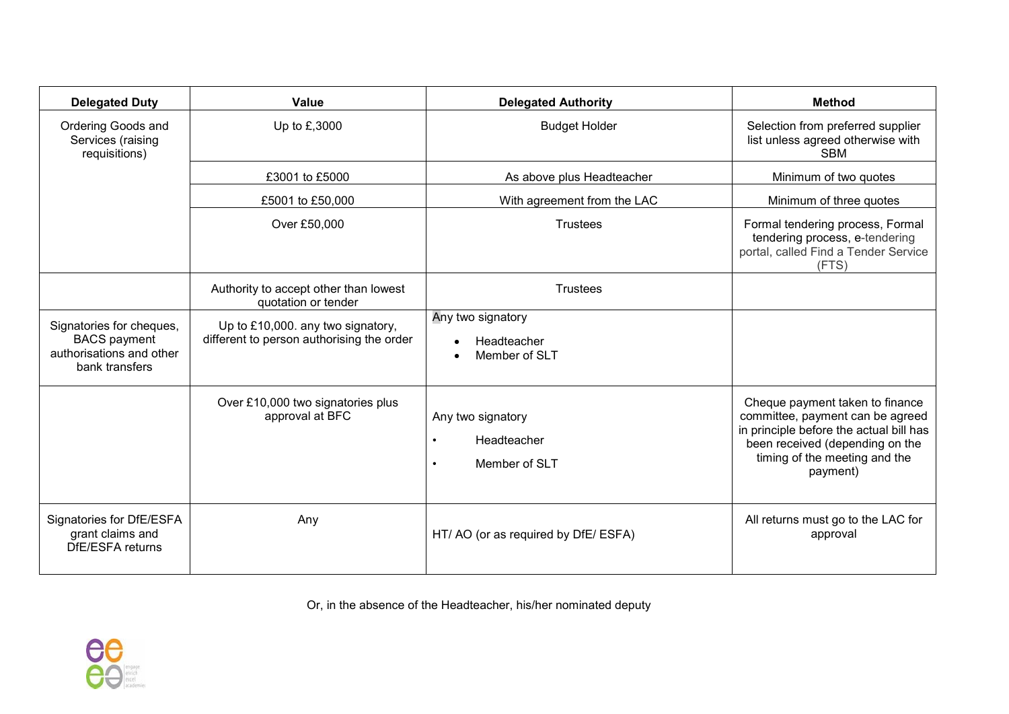| <b>Delegated Duty</b>                                                                         | <b>Value</b>                                                                   | <b>Delegated Authority</b>                        | <b>Method</b>                                                                                                                                                                                  |
|-----------------------------------------------------------------------------------------------|--------------------------------------------------------------------------------|---------------------------------------------------|------------------------------------------------------------------------------------------------------------------------------------------------------------------------------------------------|
| Ordering Goods and<br>Services (raising<br>requisitions)                                      | Up to £,3000                                                                   | <b>Budget Holder</b>                              | Selection from preferred supplier<br>list unless agreed otherwise with<br><b>SBM</b>                                                                                                           |
|                                                                                               | £3001 to £5000                                                                 | As above plus Headteacher                         | Minimum of two quotes                                                                                                                                                                          |
|                                                                                               | £5001 to £50,000                                                               | With agreement from the LAC                       | Minimum of three quotes                                                                                                                                                                        |
|                                                                                               | Over £50,000                                                                   | <b>Trustees</b>                                   | Formal tendering process, Formal<br>tendering process, e-tendering<br>portal, called Find a Tender Service<br>(FTS)                                                                            |
|                                                                                               | Authority to accept other than lowest<br>quotation or tender                   | <b>Trustees</b>                                   |                                                                                                                                                                                                |
| Signatories for cheques,<br><b>BACS</b> payment<br>authorisations and other<br>bank transfers | Up to £10,000. any two signatory,<br>different to person authorising the order | Any two signatory<br>Headteacher<br>Member of SLT |                                                                                                                                                                                                |
|                                                                                               | Over £10,000 two signatories plus<br>approval at BFC                           | Any two signatory<br>Headteacher<br>Member of SLT | Cheque payment taken to finance<br>committee, payment can be agreed<br>in principle before the actual bill has<br>been received (depending on the<br>timing of the meeting and the<br>payment) |
| Signatories for DfE/ESFA<br>grant claims and<br>DfE/ESFA returns                              | Any                                                                            | HT/AO (or as required by DfE/ESFA)                | All returns must go to the LAC for<br>approval                                                                                                                                                 |

Or, in the absence of the Headteacher, his/her nominated deputy

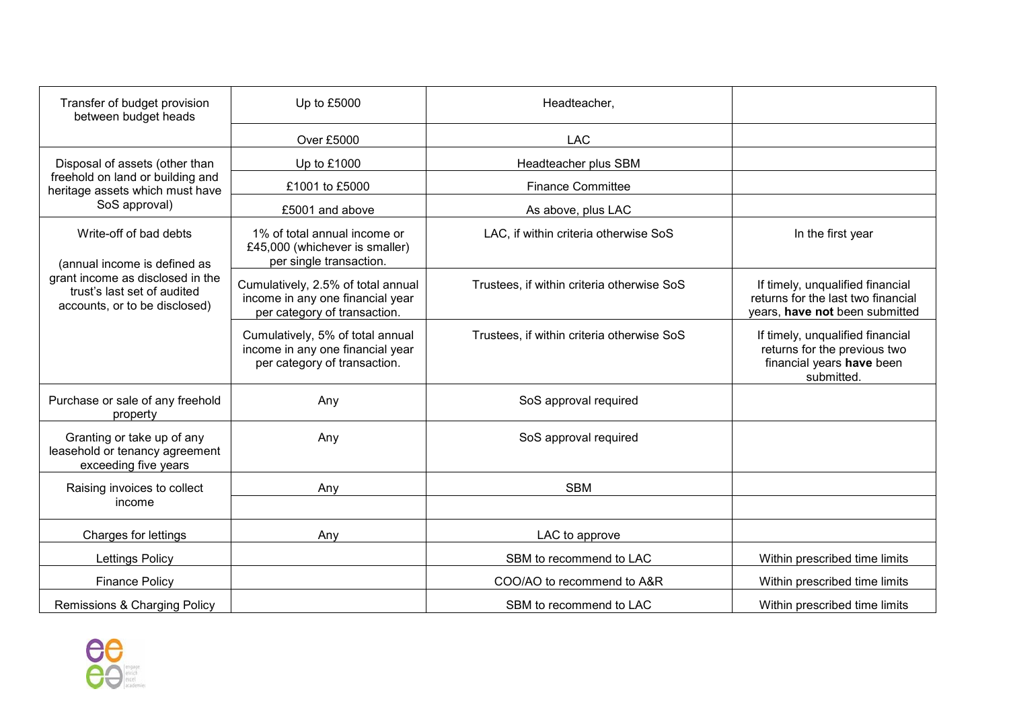| Transfer of budget provision<br>between budget heads                                             | Up to £5000                                                                                            | Headteacher,                               |                                                                                                             |
|--------------------------------------------------------------------------------------------------|--------------------------------------------------------------------------------------------------------|--------------------------------------------|-------------------------------------------------------------------------------------------------------------|
|                                                                                                  | Over £5000                                                                                             | <b>LAC</b>                                 |                                                                                                             |
| Disposal of assets (other than                                                                   | Up to £1000                                                                                            | Headteacher plus SBM                       |                                                                                                             |
| freehold on land or building and<br>heritage assets which must have                              | £1001 to £5000                                                                                         | <b>Finance Committee</b>                   |                                                                                                             |
| SoS approval)                                                                                    | £5001 and above                                                                                        | As above, plus LAC                         |                                                                                                             |
| Write-off of bad debts<br>(annual income is defined as                                           | 1% of total annual income or<br>£45,000 (whichever is smaller)<br>per single transaction.              | LAC, if within criteria otherwise SoS      | In the first year                                                                                           |
| grant income as disclosed in the<br>trust's last set of audited<br>accounts, or to be disclosed) | Cumulatively, 2.5% of total annual<br>income in any one financial year<br>per category of transaction. | Trustees, if within criteria otherwise SoS | If timely, unqualified financial<br>returns for the last two financial<br>years, have not been submitted    |
|                                                                                                  | Cumulatively, 5% of total annual<br>income in any one financial year<br>per category of transaction.   | Trustees, if within criteria otherwise SoS | If timely, unqualified financial<br>returns for the previous two<br>financial years have been<br>submitted. |
| Purchase or sale of any freehold<br>property                                                     | Any                                                                                                    | SoS approval required                      |                                                                                                             |
| Granting or take up of any<br>leasehold or tenancy agreement<br>exceeding five years             | Any                                                                                                    | SoS approval required                      |                                                                                                             |
| Raising invoices to collect                                                                      | Any                                                                                                    | <b>SBM</b>                                 |                                                                                                             |
| income                                                                                           |                                                                                                        |                                            |                                                                                                             |
| Charges for lettings                                                                             | Any                                                                                                    | LAC to approve                             |                                                                                                             |
| <b>Lettings Policy</b>                                                                           |                                                                                                        | SBM to recommend to LAC                    | Within prescribed time limits                                                                               |
| <b>Finance Policy</b>                                                                            |                                                                                                        | COO/AO to recommend to A&R                 | Within prescribed time limits                                                                               |
| Remissions & Charging Policy                                                                     |                                                                                                        | SBM to recommend to LAC                    | Within prescribed time limits                                                                               |